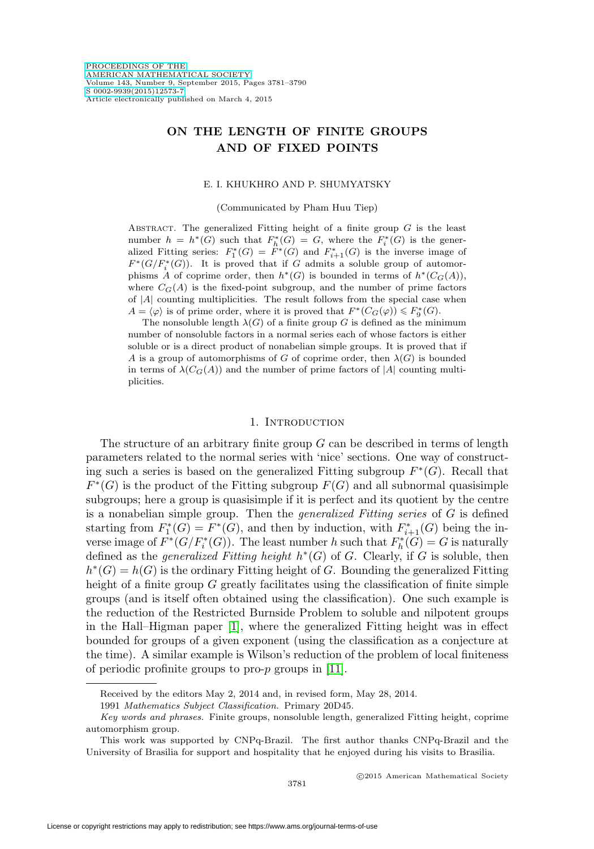# **ON THE LENGTH OF FINITE GROUPS AND OF FIXED POINTS**

### E. I. KHUKHRO AND P. SHUMYATSKY

(Communicated by Pham Huu Tiep)

ABSTRACT. The generalized Fitting height of a finite group  $G$  is the least number  $h = h^*(G)$  such that  $F_h^*(G) = G$ , where the  $F_i^*(G)$  is the generalized Fitting series:  $F_1^*(G) = F^*(G)$  and  $F_{i+1}^*(G)$  is the inverse image of  $F^*(G/F_i^*(G))$ . It is proved that if G admits a soluble group of automorphisms A of coprime order, then  $h^*(G)$  is bounded in terms of  $h^*(C_G(A)),$ where  $C_G(A)$  is the fixed-point subgroup, and the number of prime factors of  $|A|$  counting multiplicities. The result follows from the special case when  $A = \langle \varphi \rangle$  is of prime order, where it is proved that  $F^*(C_G(\varphi)) \leq F^*_9(G)$ .

The nonsoluble length  $\lambda(G)$  of a finite group G is defined as the minimum number of nonsoluble factors in a normal series each of whose factors is either soluble or is a direct product of nonabelian simple groups. It is proved that if A is a group of automorphisms of G of coprime order, then  $\lambda(G)$  is bounded in terms of  $\lambda(C_G(A))$  and the number of prime factors of |A| counting multiplicities.

### 1. INTRODUCTION

The structure of an arbitrary finite group  $G$  can be described in terms of length parameters related to the normal series with 'nice' sections. One way of constructing such a series is based on the generalized Fitting subgroup  $F^*(G)$ . Recall that  $F^*(G)$  is the product of the Fitting subgroup  $F(G)$  and all subnormal quasisimple subgroups; here a group is quasisimple if it is perfect and its quotient by the centre is a nonabelian simple group. Then the *generalized Fitting series* of  $G$  is defined starting from  $F_1^*(G) = F^*(G)$ , and then by induction, with  $F_{i+1}^*(G)$  being the inverse image of  $F^*(G/F_i^*(G))$ . The least number h such that  $F_h^*(G) = G$  is naturally defined as the *generalized Fitting height*  $h<sup>*</sup>(G)$  of G. Clearly, if G is soluble, then  $h^*(G) = h(G)$  is the ordinary Fitting height of G. Bounding the generalized Fitting height of a finite group  $G$  greatly facilitates using the classification of finite simple groups (and is itself often obtained using the classification). One such example is the reduction of the Restricted Burnside Problem to soluble and nilpotent groups in the Hall–Higman paper [\[1\]](#page-8-0), where the generalized Fitting height was in effect bounded for groups of a given exponent (using the classification as a conjecture at the time). A similar example is Wilson's reduction of the problem of local finiteness of periodic profinite groups to pro-p groups in [\[11\]](#page-9-0).

Received by the editors May 2, 2014 and, in revised form, May 28, 2014.

<sup>1991</sup> Mathematics Subject Classification. Primary 20D45.

Key words and phrases. Finite groups, nonsoluble length, generalized Fitting height, coprime automorphism group.

This work was supported by CNPq-Brazil. The first author thanks CNPq-Brazil and the University of Brasilia for support and hospitality that he enjoyed during his visits to Brasilia.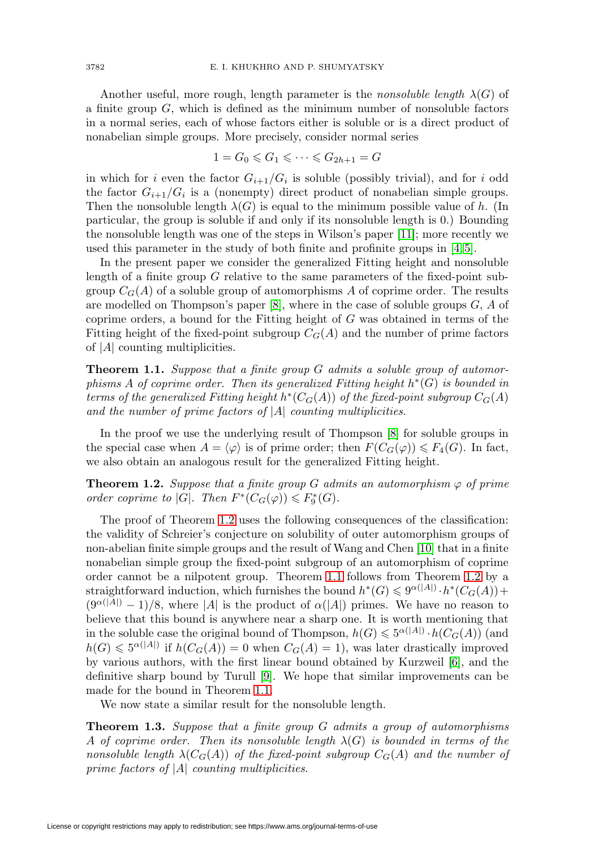Another useful, more rough, length parameter is the *nonsoluble length*  $\lambda(G)$  of a finite group  $G$ , which is defined as the minimum number of nonsoluble factors in a normal series, each of whose factors either is soluble or is a direct product of nonabelian simple groups. More precisely, consider normal series

$$
1 = G_0 \leqslant G_1 \leqslant \cdots \leqslant G_{2h+1} = G
$$

in which for i even the factor  $G_{i+1}/G_i$  is soluble (possibly trivial), and for i odd the factor  $G_{i+1}/G_i$  is a (nonempty) direct product of nonabelian simple groups. Then the nonsoluble length  $\lambda(G)$  is equal to the minimum possible value of h. (In particular, the group is soluble if and only if its nonsoluble length is 0.) Bounding the nonsoluble length was one of the steps in Wilson's paper [\[11\]](#page-9-0); more recently we used this parameter in the study of both finite and profinite groups in  $[4, 5]$  $[4, 5]$ .

In the present paper we consider the generalized Fitting height and nonsoluble length of a finite group G relative to the same parameters of the fixed-point subgroup  $C_G(A)$  of a soluble group of automorphisms A of coprime order. The results are modelled on Thompson's paper  $[8]$ , where in the case of soluble groups  $G, A$  of coprime orders, a bound for the Fitting height of G was obtained in terms of the Fitting height of the fixed-point subgroup  $C_G(A)$  and the number of prime factors of  $|A|$  counting multiplicities.

<span id="page-1-1"></span>**Theorem 1.1.** Suppose that a finite group G admits a soluble group of automorphisms A of coprime order. Then its generalized Fitting height  $h^*(G)$  is bounded in terms of the generalized Fitting height  $h^*(C_G(A))$  of the fixed-point subgroup  $C_G(A)$ and the number of prime factors of  $|A|$  counting multiplicities.

In the proof we use the underlying result of Thompson [\[8\]](#page-9-3) for soluble groups in the special case when  $A = \langle \varphi \rangle$  is of prime order; then  $F(C_G(\varphi)) \leq F_4(G)$ . In fact, we also obtain an analogous result for the generalized Fitting height.

<span id="page-1-0"></span>**Theorem 1.2.** Suppose that a finite group G admits an automorphism  $\varphi$  of prime order coprime to |G|. Then  $F^*(C_G(\varphi)) \leq F_9^*(G)$ .

The proof of Theorem [1.2](#page-1-0) uses the following consequences of the classification: the validity of Schreier's conjecture on solubility of outer automorphism groups of non-abelian finite simple groups and the result of Wang and Chen [\[10\]](#page-9-4) that in a finite nonabelian simple group the fixed-point subgroup of an automorphism of coprime order cannot be a nilpotent group. Theorem [1.1](#page-1-1) follows from Theorem [1.2](#page-1-0) by a straightforward induction, which furnishes the bound  $h^*(G) \leq 9^{\alpha(|A|)} \cdot h^*(C_G(A)) +$  $(9^{\alpha(|A|)}-1)/8$ , where |A| is the product of  $\alpha(|A|)$  primes. We have no reason to believe that this bound is anywhere near a sharp one. It is worth mentioning that in the soluble case the original bound of Thompson,  $h(G) \leqslant 5^{\alpha(|A|)} \cdot h(C_G(A))$  (and  $h(G) \leqslant 5^{\alpha(|A|)}$  if  $h(C_G(A)) = 0$  when  $C_G(A) = 1$ , was later drastically improved by various authors, with the first linear bound obtained by Kurzweil [\[6\]](#page-9-5), and the definitive sharp bound by Turull [\[9\]](#page-9-6). We hope that similar improvements can be made for the bound in Theorem [1.1.](#page-1-1)

We now state a similar result for the nonsoluble length.

<span id="page-1-2"></span>**Theorem 1.3.** Suppose that a finite group G admits a group of automorphisms A of coprime order. Then its nonsoluble length  $\lambda(G)$  is bounded in terms of the nonsoluble length  $\lambda(C_G(A))$  of the fixed-point subgroup  $C_G(A)$  and the number of prime factors of  $|A|$  counting multiplicities.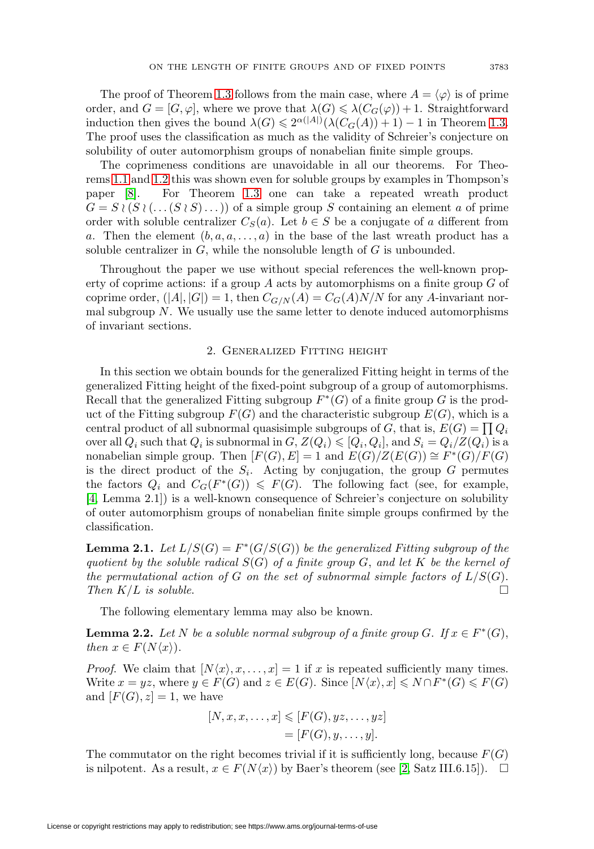The proof of Theorem [1.3](#page-1-2) follows from the main case, where  $A = \langle \varphi \rangle$  is of prime order, and  $G = [G, \varphi]$ , where we prove that  $\lambda(G) \leq \lambda(C_G(\varphi)) + 1$ . Straightforward induction then gives the bound  $\lambda(G) \leq 2^{\alpha(|A|)}(\lambda(C_G(A)) + 1) - 1$  in Theorem [1.3.](#page-1-2) The proof uses the classification as much as the validity of Schreier's conjecture on solubility of outer automorphism groups of nonabelian finite simple groups.

The coprimeness conditions are unavoidable in all our theorems. For Theorems [1.1](#page-1-1) and [1.2](#page-1-0) this was shown even for soluble groups by examples in Thompson's paper [\[8\]](#page-9-3). For Theorem [1.3](#page-1-2) one can take a repeated wreath product  $G = S \wr (S \wr (\dots (S \wr S) \dots))$  of a simple group S containing an element a of prime order with soluble centralizer  $C_S(a)$ . Let  $b \in S$  be a conjugate of a different from a. Then the element  $(b, a, a, \ldots, a)$  in the base of the last wreath product has a soluble centralizer in  $G$ , while the nonsoluble length of  $G$  is unbounded.

Throughout the paper we use without special references the well-known property of coprime actions: if a group A acts by automorphisms on a finite group G of coprime order,  $(|A|, |G|) = 1$ , then  $C_{G/N}(A) = C_G(A)N/N$  for any A-invariant normal subgroup  $N$ . We usually use the same letter to denote induced automorphisms of invariant sections.

### 2. Generalized Fitting height

<span id="page-2-2"></span>In this section we obtain bounds for the generalized Fitting height in terms of the generalized Fitting height of the fixed-point subgroup of a group of automorphisms. Recall that the generalized Fitting subgroup  $F^*(G)$  of a finite group G is the product of the Fitting subgroup  $F(G)$  and the characteristic subgroup  $E(G)$ , which is a central product of all subnormal quasisimple subgroups of G, that is,  $E(G) = \prod Q_i$ over all  $Q_i$  such that  $Q_i$  is subnormal in  $G, Z(Q_i) \leqslant [Q_i, Q_i],$  and  $S_i = Q_i/Z(Q_i)$  is a nonabelian simple group. Then  $[F(G), E] = 1$  and  $E(G)/Z(E(G)) \cong F^*(G)/F(G)$ is the direct product of the  $S_i$ . Acting by conjugation, the group G permutes the factors  $Q_i$  and  $C_G(F^*(G)) \leq F(G)$ . The following fact (see, for example, [\[4,](#page-9-1) Lemma 2.1]) is a well-known consequence of Schreier's conjecture on solubility of outer automorphism groups of nonabelian finite simple groups confirmed by the classification.

<span id="page-2-0"></span>**Lemma 2.1.** Let  $L/S(G) = F^*(G/S(G))$  be the generalized Fitting subgroup of the quotient by the soluble radical  $S(G)$  of a finite group G, and let K be the kernel of the permutational action of G on the set of subnormal simple factors of  $L/S(G)$ . Then  $K/L$  is soluble.

The following elementary lemma may also be known.

<span id="page-2-1"></span>**Lemma 2.2.** Let N be a soluble normal subgroup of a finite group G. If  $x \in F^*(G)$ , then  $x \in F(N\langle x \rangle)$ .

*Proof.* We claim that  $[N\langle x\rangle, x, \ldots, x] = 1$  if x is repeated sufficiently many times. Write  $x = yz$ , where  $y \in F(G)$  and  $z \in E(G)$ . Since  $[N\langle x \rangle, x] \leq N \cap F^*(G) \leq F(G)$ and  $[F(G), z] = 1$ , we have

$$
[N, x, x, \dots, x] \leqslant [F(G), yz, \dots, yz]
$$

$$
= [F(G), y, \dots, y].
$$

The commutator on the right becomes trivial if it is sufficiently long, because  $F(G)$ is nilpotent. As a result,  $x \in F(N\langle x \rangle)$  by Baer's theorem (see [\[2,](#page-8-1) Satz III.6.15]).  $\Box$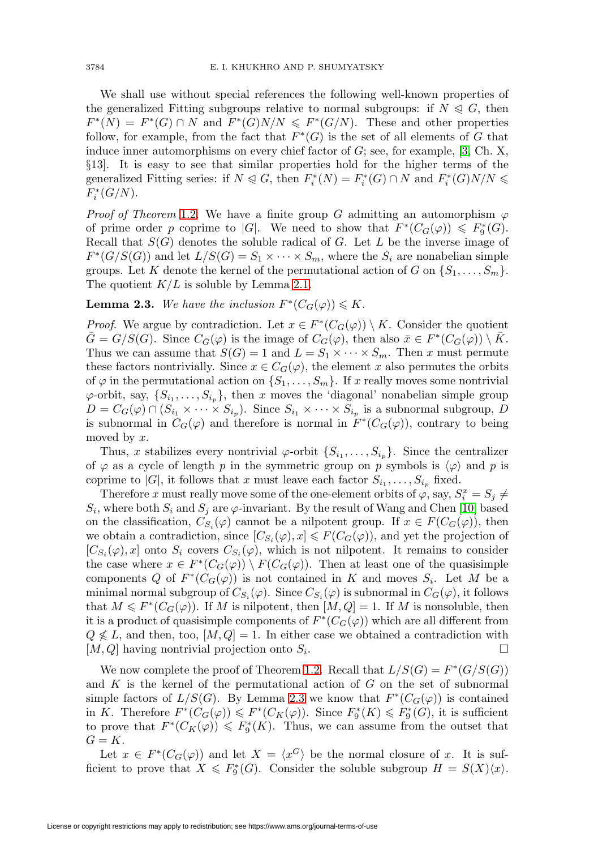We shall use without special references the following well-known properties of the generalized Fitting subgroups relative to normal subgroups: if  $N \leq G$ , then  $F^*(N) = F^*(G) \cap N$  and  $F^*(G)N/N \leq F^*(G/N)$ . These and other properties follow, for example, from the fact that  $F^*(G)$  is the set of all elements of G that induce inner automorphisms on every chief factor of  $G$ ; see, for example, [\[3,](#page-9-7) Ch. X, §13]. It is easy to see that similar properties hold for the higher terms of the generalized Fitting series: if  $N \leq G$ , then  $F_i^*(N) = F_i^*(G) \cap N$  and  $F_i^*(G)N/N \leq$  $F_i^*(G/N)$ .

*Proof of Theorem* [1.2.](#page-1-0) We have a finite group G admitting an automorphism  $\varphi$ of prime order p coprime to |G|. We need to show that  $F^*(C_G(\varphi)) \leq F^*_9(G)$ . Recall that  $S(G)$  denotes the soluble radical of G. Let L be the inverse image of  $F^*(G/S(G))$  and let  $L/S(G) = S_1 \times \cdots \times S_m$ , where the  $S_i$  are nonabelian simple groups. Let K denote the kernel of the permutational action of G on  $\{S_1,\ldots,S_m\}$ . The quotient  $K/L$  is soluble by Lemma [2.1.](#page-2-0)

## <span id="page-3-0"></span>**Lemma 2.3.** We have the inclusion  $F^*(C_G(\varphi)) \leq K$ .

*Proof.* We argue by contradiction. Let  $x \in F^*(C_G(\varphi)) \setminus K$ . Consider the quotient  $\overline{G} = G/S(G)$ . Since  $C_{\overline{G}}(\varphi)$  is the image of  $C_G(\varphi)$ , then also  $\overline{x} \in F^*(C_{\overline{G}}(\varphi)) \setminus \overline{K}$ . Thus we can assume that  $S(G) = 1$  and  $L = S_1 \times \cdots \times S_m$ . Then x must permute these factors nontrivially. Since  $x \in C_G(\varphi)$ , the element x also permutes the orbits of  $\varphi$  in the permutational action on  $\{S_1,\ldots,S_m\}$ . If x really moves some nontrivial  $\varphi$ -orbit, say,  $\{S_{i_1},...,S_{i_n}\}\$ , then x moves the 'diagonal' nonabelian simple group  $D = C_G(\varphi) \cap (S_{i_1} \times \cdots \times S_{i_p})$ . Since  $S_{i_1} \times \cdots \times S_{i_p}$  is a subnormal subgroup, D is subnormal in  $C_G(\varphi)$  and therefore is normal in  $F^*(C_G(\varphi))$ , contrary to being moved by x.

Thus, x stabilizes every nontrivial  $\varphi$ -orbit  $\{S_{i_1},\ldots,S_{i_p}\}$ . Since the centralizer of  $\varphi$  as a cycle of length p in the symmetric group on p symbols is  $\langle \varphi \rangle$  and p is coprime to |G|, it follows that x must leave each factor  $S_{i_1}, \ldots, S_{i_p}$  fixed.

Therefore x must really move some of the one-element orbits of  $\varphi$ , say,  $S_i^x = S_j \neq$  $S_i$ , where both  $S_i$  and  $S_j$  are  $\varphi$ -invariant. By the result of Wang and Chen [\[10\]](#page-9-4) based on the classification,  $C_{S_i}(\varphi)$  cannot be a nilpotent group. If  $x \in F(C_G(\varphi))$ , then we obtain a contradiction, since  $[C_{S_i}(\varphi), x] \leq F(C_G(\varphi))$ , and yet the projection of  $[C_{S_i}(\varphi), x]$  onto  $S_i$  covers  $C_{S_i}(\varphi)$ , which is not nilpotent. It remains to consider the case where  $x \in F^*(C_G(\varphi)) \setminus F(C_G(\varphi))$ . Then at least one of the quasisimple components Q of  $F^*(C_G(\varphi))$  is not contained in K and moves  $S_i$ . Let M be a minimal normal subgroup of  $C_{S_i}(\varphi)$ . Since  $C_{S_i}(\varphi)$  is subnormal in  $C_G(\varphi)$ , it follows that  $M \leq F^*(C_G(\varphi))$ . If M is nilpotent, then  $[M, Q] = 1$ . If M is nonsoluble, then it is a product of quasisimple components of  $F^*(C_G(\varphi))$  which are all different from  $Q \nleq L$ , and then, too,  $[M, Q] = 1$ . In either case we obtained a contradiction with  $[M, Q]$  having nontrivial projection onto  $S_i$ .

We now complete the proof of Theorem [1.2.](#page-1-0) Recall that  $L/S(G) = F^*(G/S(G))$ and  $K$  is the kernel of the permutational action of  $G$  on the set of subnormal simple factors of  $L/S(G)$ . By Lemma [2.3](#page-3-0) we know that  $F^*(C_G(\varphi))$  is contained in K. Therefore  $F^*(C_G(\varphi)) \leq F^*(C_K(\varphi))$ . Since  $F_9^*(K) \leq F_9^*(G)$ , it is sufficient to prove that  $F^*(C_K(\varphi)) \leq F^*_9(K)$ . Thus, we can assume from the outset that  $G = K$ .

Let  $x \in F^*(C_G(\varphi))$  and let  $X = \langle x^G \rangle$  be the normal closure of x. It is sufficient to prove that  $X \leq F_9^*(G)$ . Consider the soluble subgroup  $H = S(X)\langle x \rangle$ .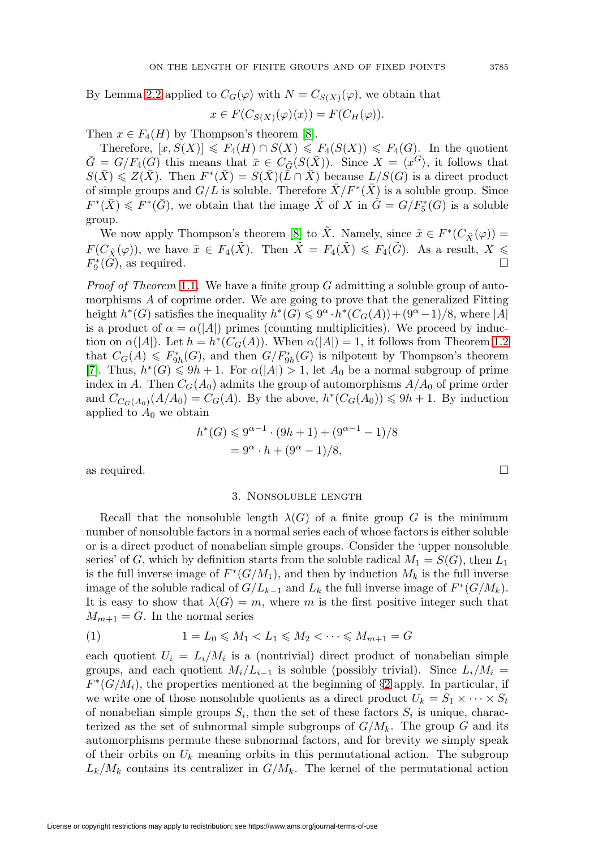By Lemma [2.2](#page-2-1) applied to  $C_G(\varphi)$  with  $N = C_{S(X)}(\varphi)$ , we obtain that

$$
x \in F(C_{S(X)}(\varphi)\langle x \rangle) = F(C_H(\varphi)).
$$

Then  $x \in F_4(H)$  by Thompson's theorem [\[8\]](#page-9-3).

Therefore,  $[x, S(X)] \leq F_4(H) \cap S(X) \leq F_4(S(X)) \leq F_4(G)$ . In the quotient  $\bar{G} = G/F_4(G)$  this means that  $\bar{x} \in C_{\bar{G}}(S(\bar{X}))$ . Since  $X = \langle x^G \rangle$ , it follows that  $S(\bar{X}) \leq Z(\bar{X})$ . Then  $F^*(\bar{X}) = S(\bar{X})(\bar{L} \cap \bar{X})$  because  $L/S(G)$  is a direct product of simple groups and  $G/L$  is soluble. Therefore  $X/F^*(X)$  is a soluble group. Since  $F^*(\bar{X}) \leq F^*(\bar{G})$ , we obtain that the image  $\tilde{X}$  of X in  $\tilde{G} = G/F_5^*(G)$  is a soluble group.

We now apply Thompson's theorem [\[8\]](#page-9-3) to  $\tilde{X}$ . Namely, since  $\tilde{x} \in F^*(C_{\tilde{X}}(\varphi)) =$  $F(C_{\tilde{X}}(\varphi))$ , we have  $\tilde{x} \in F_4(\tilde{X})$ . Then  $\tilde{X} = F_4(\tilde{X}) \leq F_4(\tilde{G})$ . As a result,  $X \leq$  $F_9^*(G)$ , as required.

*Proof of Theorem [1.1.](#page-1-1)* We have a finite group G admitting a soluble group of automorphisms A of coprime order. We are going to prove that the generalized Fitting height  $h^*(G)$  satisfies the inequality  $h^*(G) \leq 9^{\alpha} \cdot h^*(C_G(A)) + (9^{\alpha}-1)/8$ , where |A| is a product of  $\alpha = \alpha(|A|)$  primes (counting multiplicities). We proceed by induction on  $\alpha(|A|)$ . Let  $h = h^*(C_G(A))$ . When  $\alpha(|A|) = 1$ , it follows from Theorem [1.2](#page-1-0) that  $C_G(A) \leq F_{9h}^*(G)$ , and then  $G/F_{9h}^*(G)$  is nilpotent by Thompson's theorem [\[7\]](#page-9-8). Thus,  $h^*(G) \leq 9h + 1$ . For  $\alpha(|A|) > 1$ , let  $A_0$  be a normal subgroup of prime index in A. Then  $C_G(A_0)$  admits the group of automorphisms  $A/A_0$  of prime order and  $C_{C_G(A_0)}(A/A_0) = C_G(A)$ . By the above,  $h^*(C_G(A_0)) \leq 9h + 1$ . By induction applied to  $A_0$  we obtain

$$
h^*(G) \le 9^{\alpha - 1} \cdot (9h + 1) + (9^{\alpha - 1} - 1)/8
$$
  
=  $9^{\alpha} \cdot h + (9^{\alpha} - 1)/8$ ,

as required.  $\square$ 

### 3. Nonsoluble length

Recall that the nonsoluble length  $\lambda(G)$  of a finite group G is the minimum number of nonsoluble factors in a normal series each of whose factors is either soluble or is a direct product of nonabelian simple groups. Consider the 'upper nonsoluble series' of G, which by definition starts from the soluble radical  $M_1 = S(G)$ , then  $L_1$ is the full inverse image of  $F^*(G/M_1)$ , and then by induction  $M_k$  is the full inverse image of the soluble radical of  $G/L_{k-1}$  and  $L_k$  the full inverse image of  $F^*(G/M_k)$ . It is easy to show that  $\lambda(G) = m$ , where m is the first positive integer such that  $M_{m+1} = G$ . In the normal series

<span id="page-4-0"></span>(1) 
$$
1 = L_0 \leq M_1 < L_1 \leq M_2 < \cdots \leq M_{m+1} = G
$$

each quotient  $U_i = L_i/M_i$  is a (nontrivial) direct product of nonabelian simple groups, and each quotient  $M_i/L_{i-1}$  is soluble (possibly trivial). Since  $L_i/M_i =$  $F^*(G/M_i)$ , the properties mentioned at the beginning of §[2](#page-2-2) apply. In particular, if we write one of those nonsoluble quotients as a direct product  $U_k = S_1 \times \cdots \times S_t$ of nonabelian simple groups  $S_i$ , then the set of these factors  $S_i$  is unique, characterized as the set of subnormal simple subgroups of  $G/M_k$ . The group G and its automorphisms permute these subnormal factors, and for brevity we simply speak of their orbits on  $U_k$  meaning orbits in this permutational action. The subgroup  $L_k/M_k$  contains its centralizer in  $G/M_k$ . The kernel of the permutational action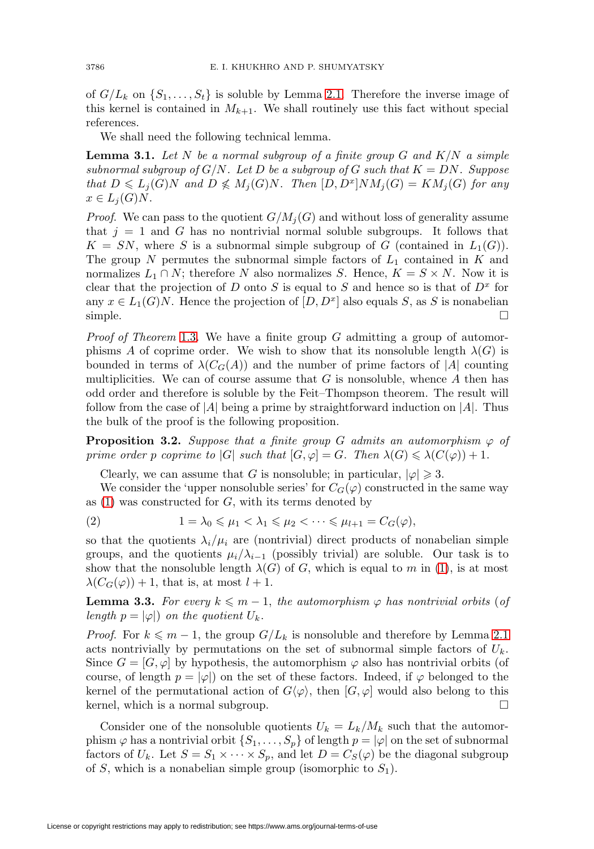of  $G/L_k$  on  $\{S_1,\ldots,S_t\}$  is soluble by Lemma [2.1.](#page-2-0) Therefore the inverse image of this kernel is contained in  $M_{k+1}$ . We shall routinely use this fact without special references.

We shall need the following technical lemma.

<span id="page-5-3"></span>**Lemma 3.1.** Let  $N$  be a normal subgroup of a finite group  $G$  and  $K/N$  a simple subnormal subgroup of  $G/N$ . Let D be a subgroup of G such that  $K = DN$ . Suppose that  $D \leqslant L_j(G)N$  and  $D \nleqslant M_j(G)N$ . Then  $[D, D^x]NM_j(G) = KM_j(G)$  for any  $x \in L_j(G)N$ .

*Proof.* We can pass to the quotient  $G/M_i(G)$  and without loss of generality assume that  $j = 1$  and G has no nontrivial normal soluble subgroups. It follows that  $K = SN$ , where S is a subnormal simple subgroup of G (contained in  $L_1(G)$ ). The group  $N$  permutes the subnormal simple factors of  $L_1$  contained in  $K$  and normalizes  $L_1 \cap N$ ; therefore N also normalizes S. Hence,  $K = S \times N$ . Now it is clear that the projection of D onto S is equal to S and hence so is that of  $D<sup>x</sup>$  for any  $x \in L_1(G)N$ . Hence the projection of  $[D, D^x]$  also equals S, as S is nonabelian simple.  $\Box$ 

*Proof of Theorem* [1.3.](#page-1-2) We have a finite group  $G$  admitting a group of automorphisms A of coprime order. We wish to show that its nonsoluble length  $\lambda(G)$  is bounded in terms of  $\lambda(C_G(A))$  and the number of prime factors of |A| counting multiplicities. We can of course assume that  $G$  is nonsoluble, whence  $A$  then has odd order and therefore is soluble by the Feit–Thompson theorem. The result will follow from the case of  $|A|$  being a prime by straightforward induction on  $|A|$ . Thus the bulk of the proof is the following proposition.

<span id="page-5-2"></span>**Proposition 3.2.** Suppose that a finite group G admits an automorphism  $\varphi$  of prime order p coprime to |G| such that  $[G, \varphi] = G$ . Then  $\lambda(G) \leq \lambda(C(\varphi)) + 1$ .

Clearly, we can assume that G is nonsoluble; in particular,  $|\varphi| \geq 3$ .

We consider the 'upper nonsoluble series' for  $C_G(\varphi)$  constructed in the same way as  $(1)$  was constructed for  $G$ , with its terms denoted by

<span id="page-5-0"></span>
$$
(2) \t 1 = \lambda_0 \leqslant \mu_1 < \lambda_1 \leqslant \mu_2 < \cdots \leqslant \mu_{l+1} = C_G(\varphi),
$$

so that the quotients  $\lambda_i/\mu_i$  are (nontrivial) direct products of nonabelian simple groups, and the quotients  $\mu_i/\lambda_{i-1}$  (possibly trivial) are soluble. Our task is to show that the nonsoluble length  $\lambda(G)$  of G, which is equal to m in [\(1\)](#page-4-0), is at most  $\lambda(C_G(\varphi)) + 1$ , that is, at most  $l + 1$ .

<span id="page-5-1"></span>**Lemma 3.3.** For every  $k \leq m - 1$ , the automorphism  $\varphi$  has nontrivial orbits (of length  $p = |\varphi|$  on the quotient  $U_k$ .

*Proof.* For  $k \leq m - 1$ , the group  $G/L_k$  is nonsoluble and therefore by Lemma [2.1](#page-2-0) acts nontrivially by permutations on the set of subnormal simple factors of  $U_k$ . Since  $G = [G, \varphi]$  by hypothesis, the automorphism  $\varphi$  also has nontrivial orbits (of course, of length  $p = |\varphi|$ ) on the set of these factors. Indeed, if  $\varphi$  belonged to the kernel of the permutational action of  $G(\varphi)$ , then  $[G, \varphi]$  would also belong to this kernel, which is a normal subgroup.  $\square$ 

Consider one of the nonsoluble quotients  $U_k = L_k/M_k$  such that the automorphism  $\varphi$  has a nontrivial orbit  $\{S_1,\ldots,S_p\}$  of length  $p = |\varphi|$  on the set of subnormal factors of  $U_k$ . Let  $S = S_1 \times \cdots \times S_p$ , and let  $D = C_S(\varphi)$  be the diagonal subgroup of S, which is a nonabelian simple group (isomorphic to  $S_1$ ).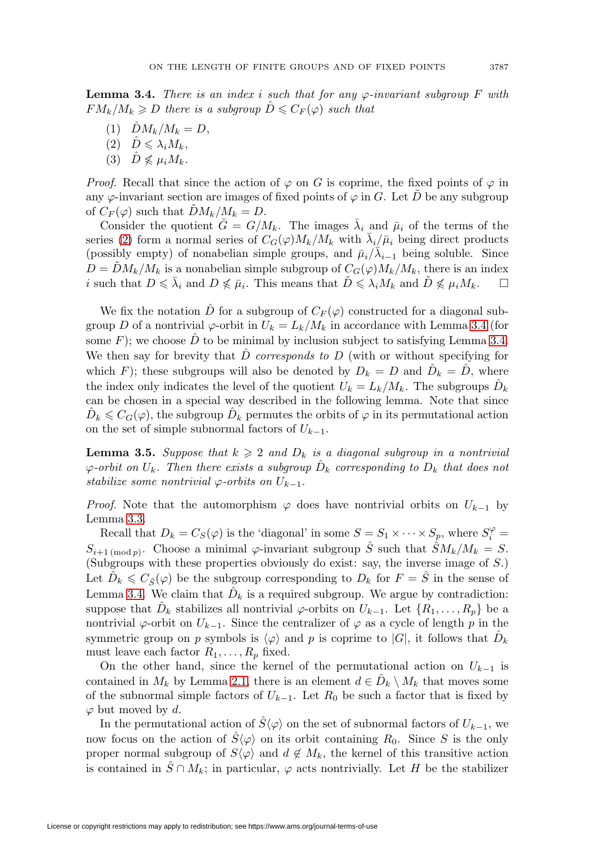<span id="page-6-0"></span>**Lemma 3.4.** There is an index i such that for any  $\varphi$ -invariant subgroup F with  $FM_k/M_k \geqslant D$  there is a subgroup  $\hat{D} \leqslant C_F(\varphi)$  such that

- (1)  $\hat{D}M_k/M_k = D,$
- (2)  $\hat{D} \leqslant \lambda_i M_k$ ,
- (3)  $\hat{D} \nleq \mu_i M_k$ .

*Proof.* Recall that since the action of  $\varphi$  on G is coprime, the fixed points of  $\varphi$  in any  $\varphi$ -invariant section are images of fixed points of  $\varphi$  in G. Let  $\tilde{D}$  be any subgroup of  $C_F(\varphi)$  such that  $\tilde{D}M_k/M_k = D$ .

Consider the quotient  $\bar{G} = G/M_k$ . The images  $\bar{\lambda}_i$  and  $\bar{\mu}_i$  of the terms of the series [\(2\)](#page-5-0) form a normal series of  $C_G(\varphi)M_k/M_k$  with  $\bar{\lambda}_i/\bar{\mu}_i$  being direct products (possibly empty) of nonabelian simple groups, and  $\bar{\mu}_i/\bar{\lambda}_{i-1}$  being soluble. Since  $D = DM_k/M_k$  is a nonabelian simple subgroup of  $C_G(\varphi)M_k/M_k$ , there is an index i such that  $D \leq \bar{\lambda}_i$  and  $D \nleq \bar{\mu}_i$ . This means that  $\tilde{D} \leq \lambda_i M_k$  and  $\tilde{D} \nleq \mu_i M_k$ .  $\square$ 

We fix the notation  $\hat{D}$  for a subgroup of  $C_F(\varphi)$  constructed for a diagonal subgroup D of a nontrivial  $\varphi$ -orbit in  $U_k = L_k/M_k$  in accordance with Lemma [3.4](#page-6-0) (for some  $F$ ); we choose  $D$  to be minimal by inclusion subject to satisfying Lemma [3.4.](#page-6-0) We then say for brevity that  $\hat{D}$  corresponds to  $D$  (with or without specifying for which F); these subgroups will also be denoted by  $D_k = D$  and  $D_k = D$ , where the index only indicates the level of the quotient  $U_k = L_k/M_k$ . The subgroups  $\hat{D}_k$ can be chosen in a special way described in the following lemma. Note that since  $\hat{D}_k \leqslant C_G(\varphi)$ , the subgroup  $\hat{D}_k$  permutes the orbits of  $\varphi$  in its permutational action on the set of simple subnormal factors of  $U_{k-1}$ .

<span id="page-6-1"></span>**Lemma 3.5.** Suppose that  $k \geq 2$  and  $D_k$  is a diagonal subgroup in a nontrivial  $\varphi$ -orbit on  $U_k$ . Then there exists a subgroup  $\hat{D}_k$  corresponding to  $D_k$  that does not stabilize some nontrivial  $\varphi$ -orbits on  $U_{k-1}$ .

*Proof.* Note that the automorphism  $\varphi$  does have nontrivial orbits on  $U_{k-1}$  by Lemma [3.3.](#page-5-1)

Recall that  $D_k = C_S(\varphi)$  is the 'diagonal' in some  $S = S_1 \times \cdots \times S_p$ , where  $S_i^{\varphi} =$  $S_{i+1 \pmod{p}}$ . Choose a minimal  $\varphi$ -invariant subgroup  $\hat{S}$  such that  $\hat{S}M_k/M_k = S$ . (Subgroups with these properties obviously do exist: say, the inverse image of S.) Let  $\hat{D}_k \leqslant C_{\hat{S}}(\varphi)$  be the subgroup corresponding to  $D_k$  for  $F = \hat{S}$  in the sense of Lemma [3.4.](#page-6-0) We claim that  $\hat{D}_k$  is a required subgroup. We argue by contradiction: suppose that  $D_k$  stabilizes all nontrivial  $\varphi$ -orbits on  $U_{k-1}$ . Let  $\{R_1,\ldots,R_p\}$  be a nontrivial  $\varphi$ -orbit on  $U_{k-1}$ . Since the centralizer of  $\varphi$  as a cycle of length p in the symmetric group on p symbols is  $\langle \varphi \rangle$  and p is coprime to  $|G|$ , it follows that  $\hat{D}_k$ must leave each factor  $R_1, \ldots, R_p$  fixed.

On the other hand, since the kernel of the permutational action on  $U_{k-1}$  is contained in  $M_k$  by Lemma [2.1,](#page-2-0) there is an element  $d \in D_k \setminus M_k$  that moves some of the subnormal simple factors of  $U_{k-1}$ . Let  $R_0$  be such a factor that is fixed by  $\varphi$  but moved by d.

In the permutational action of  $\hat{S}\langle\varphi\rangle$  on the set of subnormal factors of  $U_{k-1}$ , we now focus on the action of  $\hat{S}\langle\varphi\rangle$  on its orbit containing  $R_0$ . Since S is the only proper normal subgroup of  $S(\varphi)$  and  $d \notin M_k$ , the kernel of this transitive action is contained in  $\hat{S} \cap M_k$ ; in particular,  $\varphi$  acts nontrivially. Let H be the stabilizer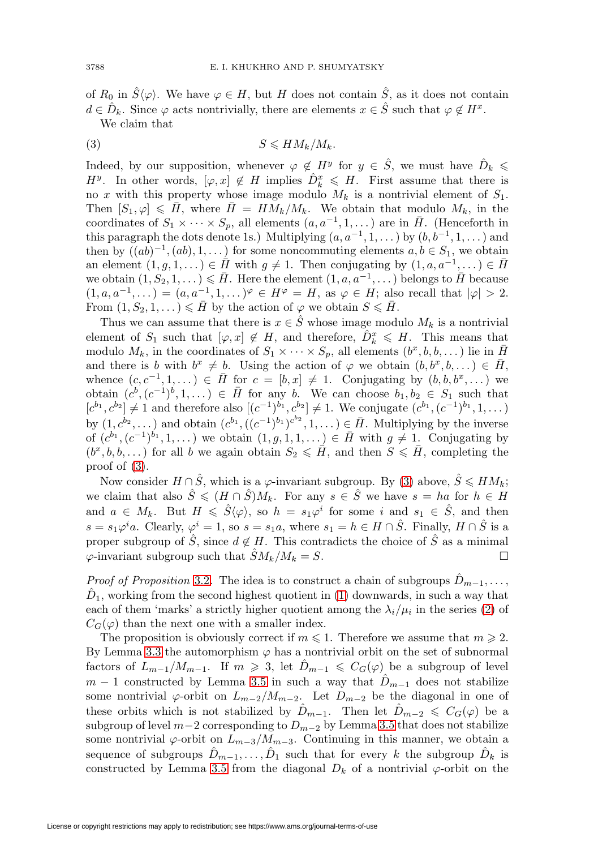of  $R_0$  in  $\hat{S}\langle\varphi\rangle$ . We have  $\varphi \in H$ , but H does not contain  $\hat{S}$ , as it does not contain  $d \in \hat{D}_k$ . Since  $\varphi$  acts nontrivially, there are elements  $x \in \hat{S}$  such that  $\varphi \notin H^x$ . We claim that

<span id="page-7-0"></span>
$$
(3) \t\t S \leqslant H M_k / M_k.
$$

Indeed, by our supposition, whenever  $\varphi \notin H^y$  for  $y \in \hat{S}$ , we must have  $\hat{D}_k \leq$  $H^y$ . In other words,  $[\varphi, x] \notin H$  implies  $\hat{D}_k^x \leq H$ . First assume that there is no x with this property whose image modulo  $M_k$  is a nontrivial element of  $S_1$ . Then  $[S_1, \varphi] \leq \bar{H}$ , where  $\bar{H} = H\tilde{M}_k/M_k$ . We obtain that modulo  $M_k$ , in the coordinates of  $S_1 \times \cdots \times S_p$ , all elements  $(a, a^{-1}, 1, \dots)$  are in  $\overline{H}$ . (Henceforth in this paragraph the dots denote 1s.) Multiplying  $(a, a^{-1}, 1, \ldots)$  by  $(b, b^{-1}, 1, \ldots)$  and then by  $((ab)^{-1}, (ab), 1, \ldots)$  for some noncommuting elements  $a, b \in S_1$ , we obtain an element  $(1, g, 1, ...) \in \overline{H}$  with  $g \neq 1$ . Then conjugating by  $(1, a, a^{-1},...) \in \overline{H}$ we obtain  $(1, S_2, 1, \ldots) \leqslant \bar{H}$ . Here the element  $(1, a, a^{-1}, \ldots)$  belongs to  $\bar{H}$  because  $(1, a, a^{-1},...)=(a, a^{-1}, 1, \ldots)^{\varphi} \in H^{\varphi}=H$ , as  $\varphi \in H$ ; also recall that  $|\varphi|>2$ . From  $(1, S_2, 1, ...) \leq \overline{H}$  by the action of  $\varphi$  we obtain  $S \leq \overline{H}$ .

Thus we can assume that there is  $x \in \hat{S}$  whose image modulo  $M_k$  is a nontrivial element of  $S_1$  such that  $[\varphi, x] \notin H$ , and therefore,  $\hat{D}_k^x \leq H$ . This means that modulo  $M_k$ , in the coordinates of  $S_1 \times \cdots \times S_p$ , all elements  $(b^x, b, b, \dots)$  lie in  $\overline{H}$ and there is b with  $b^x \neq b$ . Using the action of  $\varphi$  we obtain  $(b, b^x, b, \dots) \in \overline{H}$ , whence  $(c, c^{-1}, 1, \dots) \in \overline{H}$  for  $c = [b, x] \neq 1$ . Conjugating by  $(b, b, b^x, \dots)$  we obtain  $(c^b, (c^{-1})^b, 1, \dots) \in \overline{H}$  for any b. We can choose  $b_1, b_2 \in S_1$  such that  $[c^{b_1}, c^{b_2}] \neq 1$  and therefore also  $[(c^{-1})^{b_1}, c^{b_2}] \neq 1$ . We conjugate  $(c^{b_1}, (c^{-1})^{b_1}, 1, \dots)$ by  $(1, c^{b_2}, \dots)$  and obtain  $(c^{b_1}, ((c^{-1})^{b_1})^{c^{b_2}}, 1, \dots) \in \overline{H}$ . Multiplying by the inverse of  $(c^{b_1}, (c^{-1})^{b_1}, 1, \ldots)$  we obtain  $(1, g, 1, 1, \ldots) \in \overline{H}$  with  $g \neq 1$ . Conjugating by  $(b^x, b, b, \dots)$  for all b we again obtain  $S_2 \leq \tilde{H}$ , and then  $S \leq \tilde{H}$ , completing the proof of [\(3\)](#page-7-0).

Now consider  $H \cap \hat{S}$ , which is a  $\varphi$ -invariant subgroup. By [\(3\)](#page-7-0) above,  $\hat{S} \leq H M_k$ ; we claim that also  $\hat{S} \leqslant (H \cap \hat{S})M_k$ . For any  $s \in \hat{S}$  we have  $s = ha$  for  $h \in H$ and  $a \in M_k$ . But  $H \leq \hat{S}\langle \varphi \rangle$ , so  $h = s_1\varphi^i$  for some i and  $s_1 \in \hat{S}$ , and then  $s = s_1\varphi^i a$ . Clearly,  $\varphi^i = 1$ , so  $s = s_1a$ , where  $s_1 = h \in H \cap \hat{S}$ . Finally,  $H \cap \hat{S}$  is a proper subgroup of  $\hat{S}$ , since  $d \notin H$ . This contradicts the choice of  $\hat{S}$  as a minimal  $\varphi$ -invariant subgroup such that  $\hat{S}M_k/M_k = S$ .

*Proof of Proposition* [3.2.](#page-5-2) The idea is to construct a chain of subgroups  $D_{m-1}, \ldots$ ,  $D_1$ , working from the second highest quotient in [\(1\)](#page-4-0) downwards, in such a way that each of them 'marks' a strictly higher quotient among the  $\lambda_i/\mu_i$  in the series [\(2\)](#page-5-0) of  $C_G(\varphi)$  than the next one with a smaller index.

The proposition is obviously correct if  $m \leq 1$ . Therefore we assume that  $m \geq 2$ . By Lemma [3.3](#page-5-1) the automorphism  $\varphi$  has a nontrivial orbit on the set of subnormal factors of  $L_{m-1}/M_{m-1}$ . If  $m \geq 3$ , let  $\hat{D}_{m-1} \leq C_G(\varphi)$  be a subgroup of level  $m-1$  constructed by Lemma [3.5](#page-6-1) in such a way that  $\hat{D}_{m-1}$  does not stabilize some nontrivial  $\varphi$ -orbit on  $L_{m-2}/M_{m-2}$ . Let  $D_{m-2}$  be the diagonal in one of these orbits which is not stabilized by  $\hat{D}_{m-1}$ . Then let  $\hat{D}_{m-2} \leqslant C_G(\varphi)$  be a subgroup of level  $m-2$  corresponding to  $D_{m-2}$  by Lemma [3.5](#page-6-1) that does not stabilize some nontrivial  $\varphi$ -orbit on  $L_{m-3}/M_{m-3}$ . Continuing in this manner, we obtain a sequence of subgroups  $D_{m-1},\ldots,D_1$  such that for every k the subgroup  $\hat{D}_k$  is constructed by Lemma [3.5](#page-6-1) from the diagonal  $D_k$  of a nontrivial  $\varphi$ -orbit on the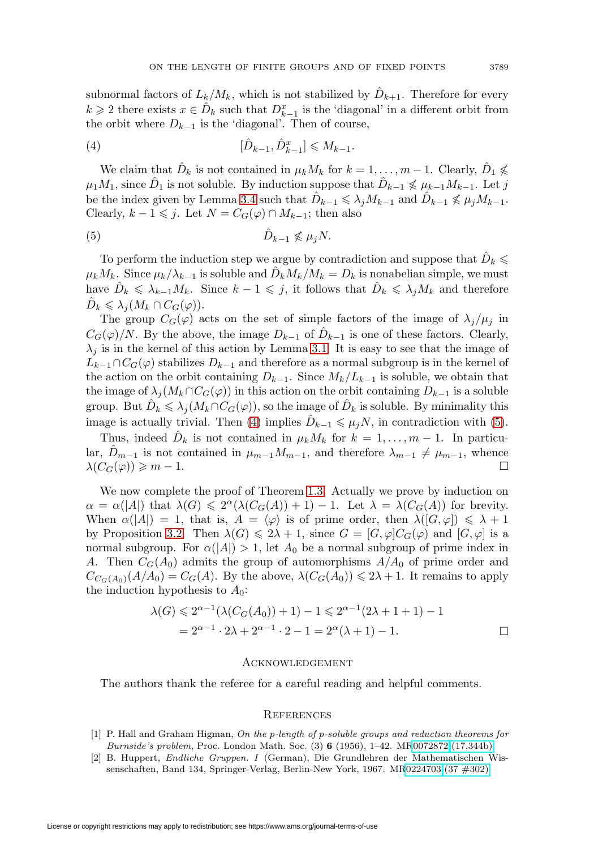subnormal factors of  $L_k/M_k$ , which is not stabilized by  $D_{k+1}$ . Therefore for every  $k \geqslant 2$  there exists  $x \in \hat{D}_k$  such that  $D_{k-1}^x$  is the 'diagonal' in a different orbit from the orbit where  $D_{k-1}$  is the 'diagonal'. Then of course,

<span id="page-8-2"></span>(4) 
$$
[\hat{D}_{k-1}, \hat{D}_{k-1}^x] \leq M_{k-1}.
$$

We claim that  $\hat{D}_k$  is not contained in  $\mu_k M_k$  for  $k = 1, \ldots, m - 1$ . Clearly,  $\hat{D}_1 \nleq$  $\mu_1M_1$ , since  $\hat{D}_1$  is not soluble. By induction suppose that  $\hat{D}_{k-1} \nleq \mu_{k-1}M_{k-1}$ . Let j be the index given by Lemma [3.4](#page-6-0) such that  $\hat{D}_{k-1} \leq \lambda_j M_{k-1}$  and  $\hat{D}_{k-1} \nleq \mu_j M_{k-1}$ . Clearly,  $k - 1 \leq j$ . Let  $N = C_G(\varphi) \cap M_{k-1}$ ; then also

<span id="page-8-3"></span>
$$
(5) \t\t\t\t\t\hat{D}_{k-1} \nleq \mu_j N.
$$

To perform the induction step we argue by contradiction and suppose that  $\hat{D}_k \leqslant$  $\mu_k M_k$ . Since  $\mu_k/\lambda_{k-1}$  is soluble and  $D_k M_k/M_k = D_k$  is nonabelian simple, we must have  $\hat{D}_k \leq \lambda_{k-1} M_k$ . Since  $k-1 \leqslant j$ , it follows that  $\hat{D}_k \leqslant \lambda_j M_k$  and therefore  $\hat{D}_k \leqslant \lambda_j (M_k \cap C_G(\varphi)).$ 

The group  $C_G(\varphi)$  acts on the set of simple factors of the image of  $\lambda_j/\mu_j$  in  $C_G(\varphi)/N$ . By the above, the image  $D_{k-1}$  of  $\hat{D}_{k-1}$  is one of these factors. Clearly,  $\lambda_i$  is in the kernel of this action by Lemma [3.1.](#page-5-3) It is easy to see that the image of  $L_{k-1} \cap C_G(\varphi)$  stabilizes  $D_{k-1}$  and therefore as a normal subgroup is in the kernel of the action on the orbit containing  $D_{k-1}$ . Since  $M_k/L_{k-1}$  is soluble, we obtain that the image of  $\lambda_j(M_k \cap C_G(\varphi))$  in this action on the orbit containing  $D_{k-1}$  is a soluble group. But  $\hat{D}_k \leqslant \lambda_j(M_k \cap C_G(\varphi))$ , so the image of  $\hat{D}_k$  is soluble. By minimality this image is actually trivial. Then [\(4\)](#page-8-2) implies  $\hat{D}_{k-1} \leq \mu_j N$ , in contradiction with [\(5\)](#page-8-3).

Thus, indeed  $\hat{D}_k$  is not contained in  $\mu_k M_k$  for  $k = 1, \ldots, m-1$ . In particular,  $D_{m-1}$  is not contained in  $\mu_{m-1}M_{m-1}$ , and therefore  $\lambda_{m-1}\neq \mu_{m-1}$ , whence  $\lambda(C_G(\varphi)) \geqslant m-1.$ 

We now complete the proof of Theorem [1.3.](#page-1-2) Actually we prove by induction on  $\alpha = \alpha(|A|)$  that  $\lambda(G) \leq 2^{\alpha}(\lambda(C_G(A)) + 1) - 1$ . Let  $\lambda = \lambda(C_G(A))$  for brevity. When  $\alpha(|A|) = 1$ , that is,  $A = \langle \varphi \rangle$  is of prime order, then  $\lambda([G, \varphi]) \leq \lambda + 1$ by Proposition [3.2.](#page-5-2) Then  $\lambda(G) \leq 2\lambda + 1$ , since  $G = [G, \varphi]C_G(\varphi)$  and  $[G, \varphi]$  is a normal subgroup. For  $\alpha(|A|) > 1$ , let  $A_0$  be a normal subgroup of prime index in A. Then  $C_G(A_0)$  admits the group of automorphisms  $A/A_0$  of prime order and  $C_{C_G(A_0)}(A/A_0) = C_G(A)$ . By the above,  $\lambda(C_G(A_0)) \leq 2\lambda + 1$ . It remains to apply the induction hypothesis to  $A_0$ :

$$
\lambda(G) \leq 2^{\alpha - 1} (\lambda(C_G(A_0)) + 1) - 1 \leq 2^{\alpha - 1} (2\lambda + 1 + 1) - 1
$$
  
=  $2^{\alpha - 1} \cdot 2\lambda + 2^{\alpha - 1} \cdot 2 - 1 = 2^{\alpha} (\lambda + 1) - 1.$ 

### **ACKNOWLEDGEMENT**

The authors thank the referee for a careful reading and helpful comments.

#### **REFERENCES**

- <span id="page-8-0"></span>[1] P. Hall and Graham Higman, On the p-length of p-soluble groups and reduction theorems for Burnside's problem, Proc. London Math. Soc. (3) **6** (1956), 1–42. M[R0072872 \(17,344b\)](http://www.ams.org/mathscinet-getitem?mr=0072872)
- <span id="page-8-1"></span>[2] B. Huppert, Endliche Gruppen. I (German), Die Grundlehren der Mathematischen Wissenschaften, Band 134, Springer-Verlag, Berlin-New York, 1967. M[R0224703 \(37 #302\)](http://www.ams.org/mathscinet-getitem?mr=0224703)